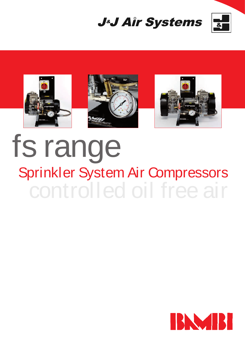





## fs range controlled oil free air Sprinkler System Air Compressors

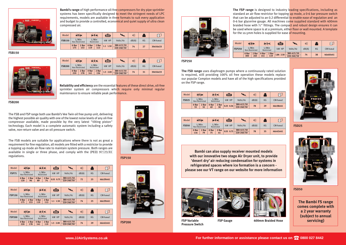**Bambi's range** of high performance oil-free compressors for dry pipe sprinkler systems has been specifically designed to meet the stringent needs of LPC requirements, models are available in three formats to suit every application and budget to provide a controlled, economical and quiet supply of ultra clean compressed air.

The FSB and FSP range both use Bambi's Vee Twin oil free pump unit, delivering the highest possible air quality with one of the lowest noise levels of any oil-free compressor available, made possible by the very latest "tilting piston" technology. Each model is a complete automatic system including a safety valve, non-return valve and an oil pressure switch.

The FSB models are suitable for applications where there is not as great a requirement for fine regulation, all models are fitted with a restrictor to provide a topping up mode air-flow rate to maintain system pressure. Both ranges are available in single or three phase, and comply with the (PED) 97/23/EC regulations. **FSP150**

| Model         | ● 全国<br>L/Min<br><b>Non Restricted</b> |              |              | <b>IDE-41</b>       | É          |                          | 11))) |    | $\rtimes$   |
|---------------|----------------------------------------|--------------|--------------|---------------------|------------|--------------------------|-------|----|-------------|
| <b>FSB150</b> |                                        |              |              | L/Min<br>Restricted | kW HP      | Volts/Hz                 | dB(A) | KG | $CM$ -hxwxd |
|               | 0 Bar<br>175                           | 2 Bar<br>153 | 0 Bar<br>119 | 2 Bar<br>113        | $1.1$ 1.50 | 380-415/50<br>220-240/50 | 74    | 27 | 30x56x33    |

| Model         | ● 日本<br>L/Min<br><b>Non Restricted</b> |  |              | $\frac{1}{\ \mathbf{b}\ _2^2} \leq \frac{1}{\ \mathbf{b}\ _2^2}$ | 自          |                              | ((((i) |    |             |
|---------------|----------------------------------------|--|--------------|------------------------------------------------------------------|------------|------------------------------|--------|----|-------------|
| <b>FSB200</b> |                                        |  |              | L/Min<br>Restricted                                              | kW HP      | Volts/Hz                     | dB(A)  | KG | $CM$ -hxwxd |
|               | 0 Bar<br>2 Bar<br>220<br>178           |  | 0 Bar<br>141 | 2 Bar<br>136                                                     | $1.5$ 2.00 | 380-415/50<br>$220 - 240/50$ | 74     | 31 | 30x56x33    |

**FSP200**





**FSB150**



**FSB200**

| Model        | <b>TEIN</b>                    |  |             | $\mathbf{R}$        | to the control of the control of the control of the control in the control of the control in the control in the control in the control in the control in the control in the control in the control in the control in the contr |                          | m)))  |    | $\mathcal{M}_{\cdot}$ |
|--------------|--------------------------------|--|-------------|---------------------|--------------------------------------------------------------------------------------------------------------------------------------------------------------------------------------------------------------------------------|--------------------------|-------|----|-----------------------|
| <b>FSP75</b> | L/Min<br><b>Non Restricted</b> |  |             | L/Min<br>Restricted | kW HP                                                                                                                                                                                                                          | Volts/Hz                 | dB(A) | KG | CM-hxwxd              |
|              | 0 Bar<br>2 Bar<br>96<br>120    |  | 0 Bar<br>89 | 2 Bar<br>74         | $0.55$ 0.75                                                                                                                                                                                                                    | 380-415/50<br>220-240/50 | 72    | 25 | 46x39x41              |

| Model         | ◀ 图                            |  |              | 心をす                 | Ó        |                          | n)))  |    | $\bowtie$ |
|---------------|--------------------------------|--|--------------|---------------------|----------|--------------------------|-------|----|-----------|
| <b>FSP150</b> | L/Min<br><b>Non Restricted</b> |  |              | L/Min<br>Restricted | kW HP    | Volts/Hz                 | dB(A) | KG | CM-hxwxd  |
|               | 0 Bar<br>2 Bar<br>175<br>153   |  | 0 Bar<br>119 | 2 Bar<br>113        | 1.1 1.50 | 380-415/50<br>220-240/50 | 74    | 25 | 46x39x41  |

| Model         | ● ミル<br>$\overline{\mathbb{R}}$ $\overline{\mathbb{R}}$ all |                                | 自            |                     | ((((t      |                          | $\bowtie$ |    |             |  |
|---------------|-------------------------------------------------------------|--------------------------------|--------------|---------------------|------------|--------------------------|-----------|----|-------------|--|
| <b>FSP200</b> |                                                             | L/Min<br><b>Non Restricted</b> |              | L/Min<br>Restricted | kW HP      | Volts/Hz                 | dB(A)     | KG | $CM$ -hxwxd |  |
|               | 0 Bar<br>2 Bar<br>220<br>178                                |                                | 0 Bar<br>141 | 2 Bar<br>119        | $1.5$ 2.00 | 380-415/50<br>220-240/50 | 74        | 29 | 46x42x41    |  |



**Reliability and efficiency** are the essential features of these direct drive, oil-free sprinkler system air compressors which require only minimal regular maintenance to ensure reliable peak performance.

**The FSP range** is designed to industry leading specifications, including as standard an air flow restrictor for topping up mode, a 0-6 bar pressure switch that can be adjusted to an 0.2 differential to enable ease of regulation and an 0-6 bar glycerine gauge. All machines come supplied standard with 400mm braided hose with  $\frac{1}{2}$ " fittings. The compact and robust design ensures it can be used where space is at a premium, either floor or wall mounted. A template for the 10.5mm holes is supplied for ease of mounting.

**FSD50**

**FSP Variable Pressure Switch**

| KG | $CM$ -hxwxd |
|----|-------------|
| 29 | 46x38x41    |
|    |             |



**FSP Gauge 400mm Braided Hose**



**The FSD range** uses diaphragm pumps where a continuously rated solution is required, still providing 100% oil free operation these models replace our popular Compton models and have all of the high specifications provided on the FSP range.

**FSP250**

**FSD25**



**Bambi can also supply receiver mounted models with our innovative two stage Air Dryer unit, to provide 'desert dry' air reducing condensation for systems in refrigerated spaces where ice formation is a concern please see our VT range on our website for more information**





| Model         | ◀▓≅∰                           |              | $\frac{1}{\ x\ ^{2}}\sum_{i=1}^{n} \mathbf{A}_{i}\ _{2}^{2}$ |              | é)        | $\mathbf{L}$                 | n)))  |    | $\bowtie$   |
|---------------|--------------------------------|--------------|--------------------------------------------------------------|--------------|-----------|------------------------------|-------|----|-------------|
| <b>FSP250</b> | L/Min<br><b>Non Restricted</b> |              | L/Min<br>Restricted                                          |              | kW HP     | Volts/Hz                     | dB(A) | KG | $CM$ -hxwxd |
|               | 0 Bar<br>300                   | 2 Bar<br>265 | 0 Bar<br>141                                                 | 2 Bar<br>119 | 1.84 2.50 | 380-415/50<br>$220 - 240/50$ | 74    | 38 | 46x60x41    |

| Model        | $\overline{\mathbb{P}}$ $\overline{\mathbf{z}}$ < $\mathbb{I}$<br>● 『星』 |             |                     | tion.       |             | w)))                     |       | $\mathbb{M}$ |             |
|--------------|-------------------------------------------------------------------------|-------------|---------------------|-------------|-------------|--------------------------|-------|--------------|-------------|
| <b>FSD25</b> | L/Min<br><b>Non Restricted</b>                                          |             | L/Min<br>Restricted |             | kW HP       | Volts/Hz                 | dB(A) | KG           | $CM$ -hxwxd |
|              | 0 Bar<br>55                                                             | 2 Bar<br>32 | 0 Bar<br>49         | 2 Bar<br>30 | $0.25$ 0.34 | 380-415/50<br>220-240/50 | 78    | 29           | 46x38x41    |

| Model        | IDE<<br>◀ Σ 心                  |             |             | ÉI                  |             | $  n\rangle \rangle$                           |       | $\mathcal{M}_1$ |             |
|--------------|--------------------------------|-------------|-------------|---------------------|-------------|------------------------------------------------|-------|-----------------|-------------|
| <b>FSD50</b> | L/Min<br><b>Non Restricted</b> |             |             | L/Min<br>Restricted | kW HP       | Volts/Hz                                       | dB(A) | KG              | $CM$ -hxwxd |
|              | 0 Bar<br>116                   | 2 Bar<br>79 | 0 Bar<br>75 | 2 Bar<br>61         | $0.55$ 0.75 | 380-415/50<br>$\frac{1}{220 - 240}{\sqrt{50}}$ | 78    | 35              | 46x43x41    |

**The Bambi FS range comes complete with a 2 year warranty (subject to annual servicing)**

## **www.JJAirSystems.co.uk** *CONSIGMENT CONSIGMENT CONSIGMENT CONSIGMENT CONSIGMENT CONSIGMENT CONSIGMENT CONSIGMENT CONSIGMENT CONSIGMENT CONSIGMENT CONSIGMENT CONSIGMENT CONSIGMENT CONSIGMENT CONSIGMENT CONSIGMENT CONSIGME*